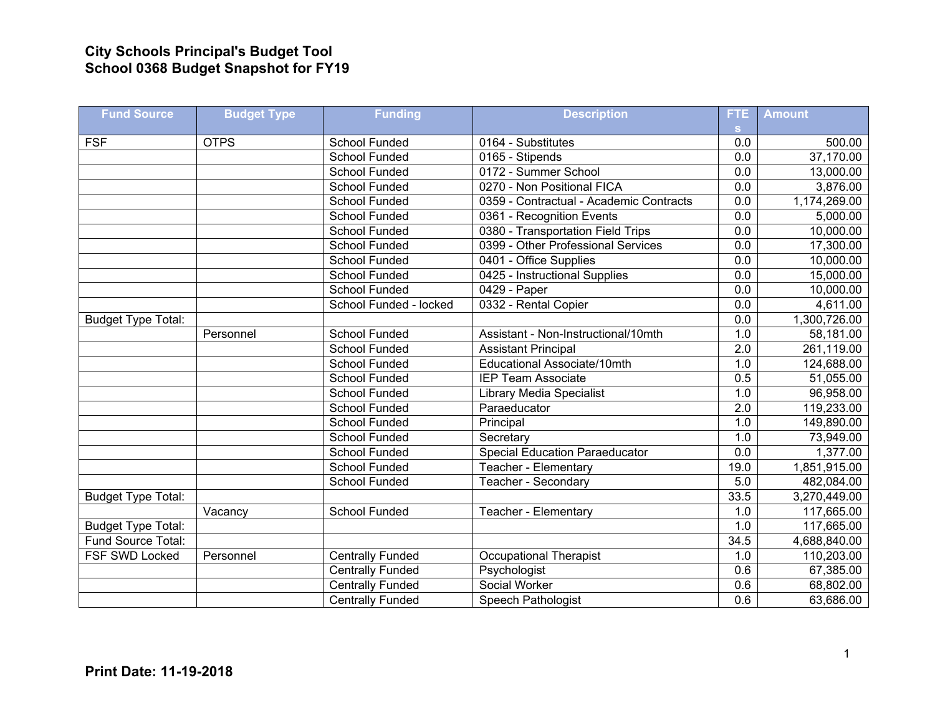## **City Schools Principal's Budget Tool School 0368 Budget Snapshot for FY19**

| <b>Fund Source</b>        | <b>Budget Type</b> | <b>Funding</b>          | <b>Description</b>                      | FTE.             | <b>Amount</b> |
|---------------------------|--------------------|-------------------------|-----------------------------------------|------------------|---------------|
|                           |                    |                         |                                         | S.               |               |
| <b>FSF</b>                | <b>OTPS</b>        | School Funded           | 0164 - Substitutes                      | 0.0              | 500.00        |
|                           |                    | <b>School Funded</b>    | 0165 - Stipends                         | 0.0              | 37,170.00     |
|                           |                    | School Funded           | 0172 - Summer School                    | 0.0              | 13,000.00     |
|                           |                    | <b>School Funded</b>    | 0270 - Non Positional FICA              | 0.0              | 3,876.00      |
|                           |                    | School Funded           | 0359 - Contractual - Academic Contracts | 0.0              | 1,174,269.00  |
|                           |                    | School Funded           | 0361 - Recognition Events               | 0.0              | 5,000.00      |
|                           |                    | <b>School Funded</b>    | 0380 - Transportation Field Trips       | 0.0              | 10,000.00     |
|                           |                    | School Funded           | 0399 - Other Professional Services      | $\overline{0.0}$ | 17,300.00     |
|                           |                    | <b>School Funded</b>    | 0401 - Office Supplies                  | 0.0              | 10,000.00     |
|                           |                    | School Funded           | 0425 - Instructional Supplies           | 0.0              | 15,000.00     |
|                           |                    | School Funded           | 0429 - Paper                            | 0.0              | 10,000.00     |
|                           |                    | School Funded - locked  | 0332 - Rental Copier                    | 0.0              | 4,611.00      |
| <b>Budget Type Total:</b> |                    |                         |                                         | 0.0              | 1,300,726.00  |
|                           | Personnel          | School Funded           | Assistant - Non-Instructional/10mth     | 1.0              | 58,181.00     |
|                           |                    | <b>School Funded</b>    | <b>Assistant Principal</b>              | 2.0              | 261,119.00    |
|                           |                    | <b>School Funded</b>    | Educational Associate/10mth             | 1.0              | 124,688.00    |
|                           |                    | <b>School Funded</b>    | <b>IEP Team Associate</b>               | 0.5              | 51,055.00     |
|                           |                    | School Funded           | <b>Library Media Specialist</b>         | 1.0              | 96,958.00     |
|                           |                    | School Funded           | Paraeducator                            | 2.0              | 119,233.00    |
|                           |                    | School Funded           | Principal                               | 1.0              | 149,890.00    |
|                           |                    | <b>School Funded</b>    | Secretary                               | 1.0              | 73,949.00     |
|                           |                    | <b>School Funded</b>    | <b>Special Education Paraeducator</b>   | 0.0              | 1,377.00      |
|                           |                    | <b>School Funded</b>    | Teacher - Elementary                    | 19.0             | 1,851,915.00  |
|                           |                    | School Funded           | Teacher - Secondary                     | 5.0              | 482,084.00    |
| <b>Budget Type Total:</b> |                    |                         |                                         | 33.5             | 3,270,449.00  |
|                           | Vacancy            | <b>School Funded</b>    | Teacher - Elementary                    | 1.0              | 117,665.00    |
| <b>Budget Type Total:</b> |                    |                         |                                         | 1.0              | 117,665.00    |
| Fund Source Total:        |                    |                         |                                         | 34.5             | 4,688,840.00  |
| <b>FSF SWD Locked</b>     | Personnel          | <b>Centrally Funded</b> | Occupational Therapist                  | 1.0              | 110,203.00    |
|                           |                    | <b>Centrally Funded</b> | Psychologist                            | 0.6              | 67,385.00     |
|                           |                    | <b>Centrally Funded</b> | Social Worker                           | 0.6              | 68,802.00     |
|                           |                    | <b>Centrally Funded</b> | Speech Pathologist                      | $\overline{0.6}$ | 63,686.00     |